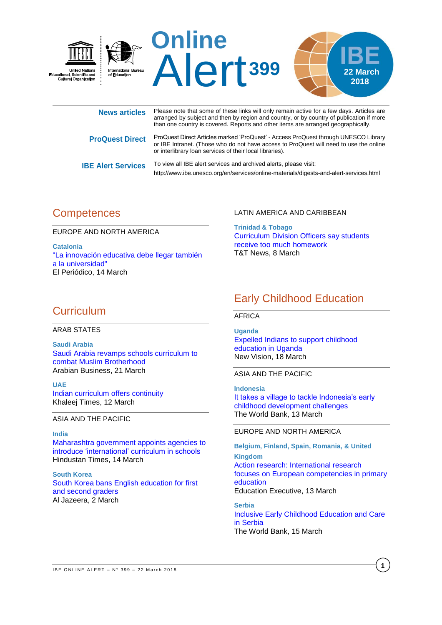

**IBE Alert Services** To view all IBE alert services and archived alerts, please visit: <http://www.ibe.unesco.org/en/services/online-materials/digests-and-alert-services.html>

# **Competences**

EUROPE AND NORTH AMERICA

**Catalonia** ["La innovación educativa debe llegar también](https://www.elperiodico.com/es/sociedad/20180313/mmantsetsa-marope-directora-educacion-unesco-innovacion-educativa-debe-llegar-universidad-6688026)  [a la universidad"](https://www.elperiodico.com/es/sociedad/20180313/mmantsetsa-marope-directora-educacion-unesco-innovacion-educativa-debe-llegar-universidad-6688026) El Periódico, 14 March

### LATIN AMERICA AND CARIBBEAN

**Trinidad & Tobago** [Curriculum Division Officers say students](http://www.looptt.com/content/curriculum-division-officers-say-students-receive-too-much-homework)  [receive too much homework](http://www.looptt.com/content/curriculum-division-officers-say-students-receive-too-much-homework) T&T News, 8 March

# **Curriculum**

## ARAB STATES

**Saudi Arabia** Saudi [Arabia revamps schools curriculum to](http://www.arabianbusiness.com/education/392493-saudi-arabia-revamps-school-curriculum-to-combat-muslim-brotherhood)  [combat Muslim Brotherhood](http://www.arabianbusiness.com/education/392493-saudi-arabia-revamps-school-curriculum-to-combat-muslim-brotherhood) Arabian Business, 21 March

**UAE** [Indian curriculum offers continuity](https://www.khaleejtimes.com/news/education/indian-curriculum-offers-continuity) Khaleej Times, 12 March

ASIA AND THE PACIFIC

**India** [Maharashtra government appoints agencies to](https://www.hindustantimes.com/mumbai-news/maharashtra-government-appoints-agencies-to-introduce-international-curriculum-in-schools/story-LZ20IWa9WOJppU2GwXebzN.html)  [introduce 'international' curriculum in schools](https://www.hindustantimes.com/mumbai-news/maharashtra-government-appoints-agencies-to-introduce-international-curriculum-in-schools/story-LZ20IWa9WOJppU2GwXebzN.html) Hindustan Times, 14 March

**South Korea** [South Korea bans English education for first](https://www.aljazeera.com/indepth/features/south-korea-bans-english-education-graders-180302100352881.html)  [and second graders](https://www.aljazeera.com/indepth/features/south-korea-bans-english-education-graders-180302100352881.html) Al Jazeera, 2 March

# Early Childhood Education

## AFRICA

**Uganda** [Expelled Indians to support childhood](https://www.newvision.co.ug/new_vision/news/1473512/expelled-indians-support-childhood-education-uganda)  [education in Uganda](https://www.newvision.co.ug/new_vision/news/1473512/expelled-indians-support-childhood-education-uganda) New Vision, 18 March

ASIA AND THE PACIFIC

**Indonesia** [It takes a village to tackle Indonesia's early](http://blogs.worldbank.org/eastasiapacific/it-takes-village-tackle-indonesia-s-early-childhood-development-challenges)  [childhood development challenges](http://blogs.worldbank.org/eastasiapacific/it-takes-village-tackle-indonesia-s-early-childhood-development-challenges) The World Bank, 13 March

### EUROPE AND NORTH AMERICA

**Belgium, Finland, Spain, Romania, & United Kingdom** [Action research: International research](http://edexec.co.uk/action-research-international-research-focuses-on-european-competencies-in-primary-education/)  [focuses on European competencies in primary](http://edexec.co.uk/action-research-international-research-focuses-on-european-competencies-in-primary-education/)  [education](http://edexec.co.uk/action-research-international-research-focuses-on-european-competencies-in-primary-education/) Education Executive, 13 March

**Serbia** [Inclusive Early Childhood Education and Care](http://www.worldbank.org/en/news/infographic/2018/03/15/inclusive-early-childhood-education-and-care-in-serbia)  [in Serbia](http://www.worldbank.org/en/news/infographic/2018/03/15/inclusive-early-childhood-education-and-care-in-serbia) The World Bank, 15 March

**1**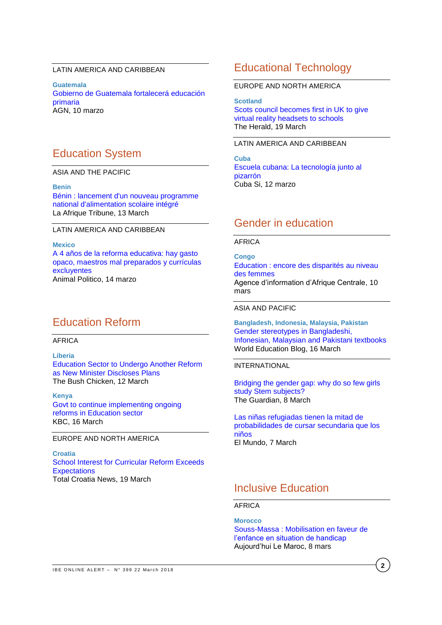## LATIN AMERICA AND CARIBBEAN

**Guatemala** [Gobierno de Guatemala fortalecerá educación](https://agn.com.gt/politica/gobierno-de-guatemala-fortalecera-educacion-primaria/)  [primaria](https://agn.com.gt/politica/gobierno-de-guatemala-fortalecera-educacion-primaria/) AGN, 10 marzo

# Education System

ASIA AND THE PACIFIC

**Benin** Bénin [: lancement d'un nouveau programme](https://afrique.latribune.fr/politique/politique-publique/2018-03-13/benin-lancement-d-un-nouveau-programme-national-d-alimentation-scolaire-integre-771687.html)  [national d'alimentation scolaire intégré](https://afrique.latribune.fr/politique/politique-publique/2018-03-13/benin-lancement-d-un-nouveau-programme-national-d-alimentation-scolaire-integre-771687.html) La Afrique Tribune, 13 March

#### LATIN AMERICA AND CARIBBEAN

**Mexico** [A 4 años de la reforma educativa: hay gasto](https://www.animalpolitico.com/2018/03/cuatro-anos-despues-la-reforma-educativa-opacidad-gasto-planes-estudio-excluyentes-mala-formacion-profesores-mexicanos-primero/)  [opaco, maestros mal preparados y currículas](https://www.animalpolitico.com/2018/03/cuatro-anos-despues-la-reforma-educativa-opacidad-gasto-planes-estudio-excluyentes-mala-formacion-profesores-mexicanos-primero/)  [excluyentes](https://www.animalpolitico.com/2018/03/cuatro-anos-despues-la-reforma-educativa-opacidad-gasto-planes-estudio-excluyentes-mala-formacion-profesores-mexicanos-primero/) Animal Politico, 14 marzo

# Education Reform

# AFRICA

**Liberia** [Education Sector to Undergo Another Reform](http://www.bushchicken.com/education-sector-to-undergo-another-reform-as-new-minister-discloses-plans/)  [as New Minister Discloses Plans](http://www.bushchicken.com/education-sector-to-undergo-another-reform-as-new-minister-discloses-plans/) The Bush Chicken, 12 March

**Kenya** Govt [to continue implementing ongoing](http://www.kbc.co.ke/govt-continue-implementing-ongoing-reforms-education-sector/)  [reforms in Education sector](http://www.kbc.co.ke/govt-continue-implementing-ongoing-reforms-education-sector/) KBC, 16 March

#### EUROPE AND NORTH AMERICA

**Croatia** [School Interest for Curricular Reform Exceeds](https://www.total-croatia-news.com/politics/26752-interest-for-curriculum-reform-above-all-expectations)  **[Expectations](https://www.total-croatia-news.com/politics/26752-interest-for-curriculum-reform-above-all-expectations)** Total Croatia News, 19 March

# Educational Technology

### EUROPE AND NORTH AMERICA

**Scotland** [Scots council becomes first in UK to give](http://www.heraldscotland.com/news/16095496.Scots_council_becomes_first_in_UK_to_give_virtual_reality_headsets_to_schools/)  [virtual reality headsets to schools](http://www.heraldscotland.com/news/16095496.Scots_council_becomes_first_in_UK_to_give_virtual_reality_headsets_to_schools/) The Herald, 19 March

## LATIN AMERICA AND CARIBBEAN

**Cuba** [Escuela cubana: La tecnología junto al](http://cubasi.cu/cubasi-noticias-cuba-mundo-ultima-hora/item/74282-escuela-cubana-la-tecnologia-junto-al-pizarron)  [pizarrón](http://cubasi.cu/cubasi-noticias-cuba-mundo-ultima-hora/item/74282-escuela-cubana-la-tecnologia-junto-al-pizarron) Cuba Si, 12 marzo

# Gender in education

#### AFRICA

**Congo** Education : [encore des disparités au niveau](http://adiac-congo.com/content/education-encore-des-disparites-au-niveau-des-femmes-80482)  [des femmes](http://adiac-congo.com/content/education-encore-des-disparites-au-niveau-des-femmes-80482) Agence d'information d'Afrique Centrale, 10 mars

#### ASIA AND PACIFIC

**Bangladesh, Indonesia, Malaysia, Pakistan** [Gender stereotypes in Bangladeshi,](https://gemreportunesco.wordpress.com/2018/03/16/gender-stereotypes-in-bangladeshi-indonesian-malaysian-and-pakistani-textbooks/)  [Infonesian, Malaysian and Pakistani textbooks](https://gemreportunesco.wordpress.com/2018/03/16/gender-stereotypes-in-bangladeshi-indonesian-malaysian-and-pakistani-textbooks/) World Education Blog, 16 March

## INTERNATIONAL

Bridging the [gender gap: why do so few girls](https://www.theguardian.com/science/head-quarters/2018/mar/08/bridging-the-gender-gap-why-do-so-few-girls-study-stem-subjects)  [study Stem subjects?](https://www.theguardian.com/science/head-quarters/2018/mar/08/bridging-the-gender-gap-why-do-so-few-girls-study-stem-subjects) The Guardian, 8 March

[Las niñas refugiadas tienen la mitad de](http://www.elmundo.es/internacional/2018/03/07/5a9fa8e422601dc25f8b45af.html)  [probabilidades de cursar secundaria que los](http://www.elmundo.es/internacional/2018/03/07/5a9fa8e422601dc25f8b45af.html)  [niños](http://www.elmundo.es/internacional/2018/03/07/5a9fa8e422601dc25f8b45af.html) El Mundo, 7 March

# Inclusive Education

AFRICA

**Morocco** Souss-Massa [: Mobilisation en faveur de](http://aujourdhui.ma/societe/souss-massa-mobilisation-en-faveur-de-lenfance-en-situation-de-handicap)  [l'enfance en situation de handicap](http://aujourdhui.ma/societe/souss-massa-mobilisation-en-faveur-de-lenfance-en-situation-de-handicap) Aujourd'hui Le Maroc, 8 mars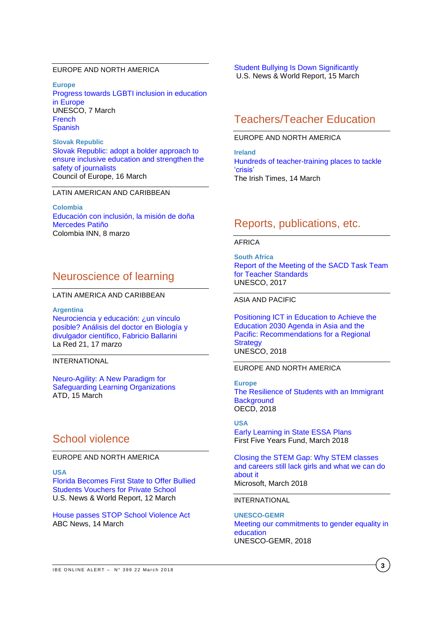## EUROPE AND NORTH AMERICA

**Europe** [Progress towards LGBTI inclusion in education](https://en.unesco.org/news/progress-towards-lgbti-inclusion-education-europe)  [in Europe](https://en.unesco.org/news/progress-towards-lgbti-inclusion-education-europe) UNESCO, 7 March **[French](https://fr.unesco.org/news/progres-matiere-inclusion-lgbti-education-europe) [Spanish](https://es.unesco.org/news/logros-materia-inclusion-cuestiones-relativas-lgbti-educacion-europa)** 

**Slovak Republic** [Slovak Republic: adopt a bolder approach to](https://www.coe.int/en/web/commissioner/-/slovak-republic-adopt-a-bolder-approach-to-ensure-inclusive-education-and-strengthen-the-safety-of-journalists)  [ensure inclusive education and strengthen the](https://www.coe.int/en/web/commissioner/-/slovak-republic-adopt-a-bolder-approach-to-ensure-inclusive-education-and-strengthen-the-safety-of-journalists)  [safety of journalists](https://www.coe.int/en/web/commissioner/-/slovak-republic-adopt-a-bolder-approach-to-ensure-inclusive-education-and-strengthen-the-safety-of-journalists) Council of Europe, 16 March

## LATIN AMERICAN AND CARIBBEAN

**Colombia** [Educación con inclusión, la misión de doña](http://colombia-inn.com.co/educacion-con-inclusion-la-mision-de-dona-mercedes-patino/)  [Mercedes Patiño](http://colombia-inn.com.co/educacion-con-inclusion-la-mision-de-dona-mercedes-patino/) Colombia INN, 8 marzo

# Neuroscience of learning

#### LATIN AMERICA AND CARIBBEAN

**Argentina** [Neurociencia y educación: ¿un vínculo](http://www.lr21.com.uy/comunidad/1362600-neurociencia-educacion-fabricio-ballarini) [posible? Análisis del doctor en Biología y](http://www.lr21.com.uy/comunidad/1362600-neurociencia-educacion-fabricio-ballarini)  [divulgador científico, Fabricio Ballarini](http://www.lr21.com.uy/comunidad/1362600-neurociencia-educacion-fabricio-ballarini) La Red 21, 17 marzo

## INTERNATIONAL

[Neuro-Agility: A New Paradigm for](https://www.td.org/insights/neuro-agility-a-new-paradigm-for-safeguarding-learning-organizations)  [Safeguarding Learning Organizations](https://www.td.org/insights/neuro-agility-a-new-paradigm-for-safeguarding-learning-organizations) ATD, 15 March

# School violence

EUROPE AND NORTH AMERICA

**USA**

[Florida Becomes First State to Offer Bullied](https://www.usnews.com/news/education-news/articles/2018-03-12/florida-becomes-first-state-to-offer-bullied-students-vouchers-for-private-school)  [Students Vouchers for Private School](https://www.usnews.com/news/education-news/articles/2018-03-12/florida-becomes-first-state-to-offer-bullied-students-vouchers-for-private-school) U.S. News & World Report, 12 March

[House passes STOP School Violence Act](http://abcnews.go.com/Politics/house-passes-stop-school-violence-act/story?id=53749704) ABC News, 14 March

[Student Bullying Is Down Significantly](https://www.usnews.com/news/data-mine/articles/2018-03-15/student-bullying-is-down-significantly) U.S. News & World Report, 15 March

# Teachers/Teacher Education

## EUROPE AND NORTH AMERICA

**Ireland** [Hundreds of teacher-training places to tackle](https://www.irishtimes.com/news/education/hundreds-of-teacher-training-places-to-tackle-crisis-1.3425815)  ['crisis'](https://www.irishtimes.com/news/education/hundreds-of-teacher-training-places-to-tackle-crisis-1.3425815)  The Irish Times, 14 March

# Reports, publications, etc.

### AFRICA

**South Africa** [Report of the Meeting of the SACD Task Team](http://unesdoc.unesco.org/images/0026/002616/261627e.pdf)  [for Teacher Standards](http://unesdoc.unesco.org/images/0026/002616/261627e.pdf)  UNESCO, 2017

#### ASIA AND PACIFIC

[Positioning ICT in Education to Achieve the](http://unesdoc.unesco.org/images/0026/002616/261661e.pdf)  [Education 2030 Agenda in Asia and the](http://unesdoc.unesco.org/images/0026/002616/261661e.pdf)  [Pacific: Recommendations for a Regional](http://unesdoc.unesco.org/images/0026/002616/261661e.pdf)  **[Strategy](http://unesdoc.unesco.org/images/0026/002616/261661e.pdf)** UNESCO, 2018

## EUROPE AND NORTH AMERICA

**Europe** The Resilience [of Students with an Immigrant](http://www.oecd-ilibrary.org/docserver/download/9118011e.pdf?expires=1521560613&id=id&accname=guest&checksum=425B2D7BAE42337C5469E52305EAB4E1)  **Background** OECD, 2018

**USA**

[Early Learning in State ESSA Plans](https://ffyf.org/wp-content/uploads/2018/03/Early-Learning-in-State-ESSA-Plans.pdf) First Five Years Fund, March 2018

[Closing the STEM Gap: Why STEM classes](https://query.prod.cms.rt.microsoft.com/cms/api/am/binary/RE1UMWz)  [and careers still lack girls and what we can do](https://query.prod.cms.rt.microsoft.com/cms/api/am/binary/RE1UMWz)  [about it](https://query.prod.cms.rt.microsoft.com/cms/api/am/binary/RE1UMWz)  Microsoft, March 2018

## INTERNATIONAL

**UNESCO-GEMR** [Meeting our commitments to gender equality in](http://unesdoc.unesco.org/images/0026/002615/261593e.pdf)  [education](http://unesdoc.unesco.org/images/0026/002615/261593e.pdf) UNESCO-GEMR, 2018